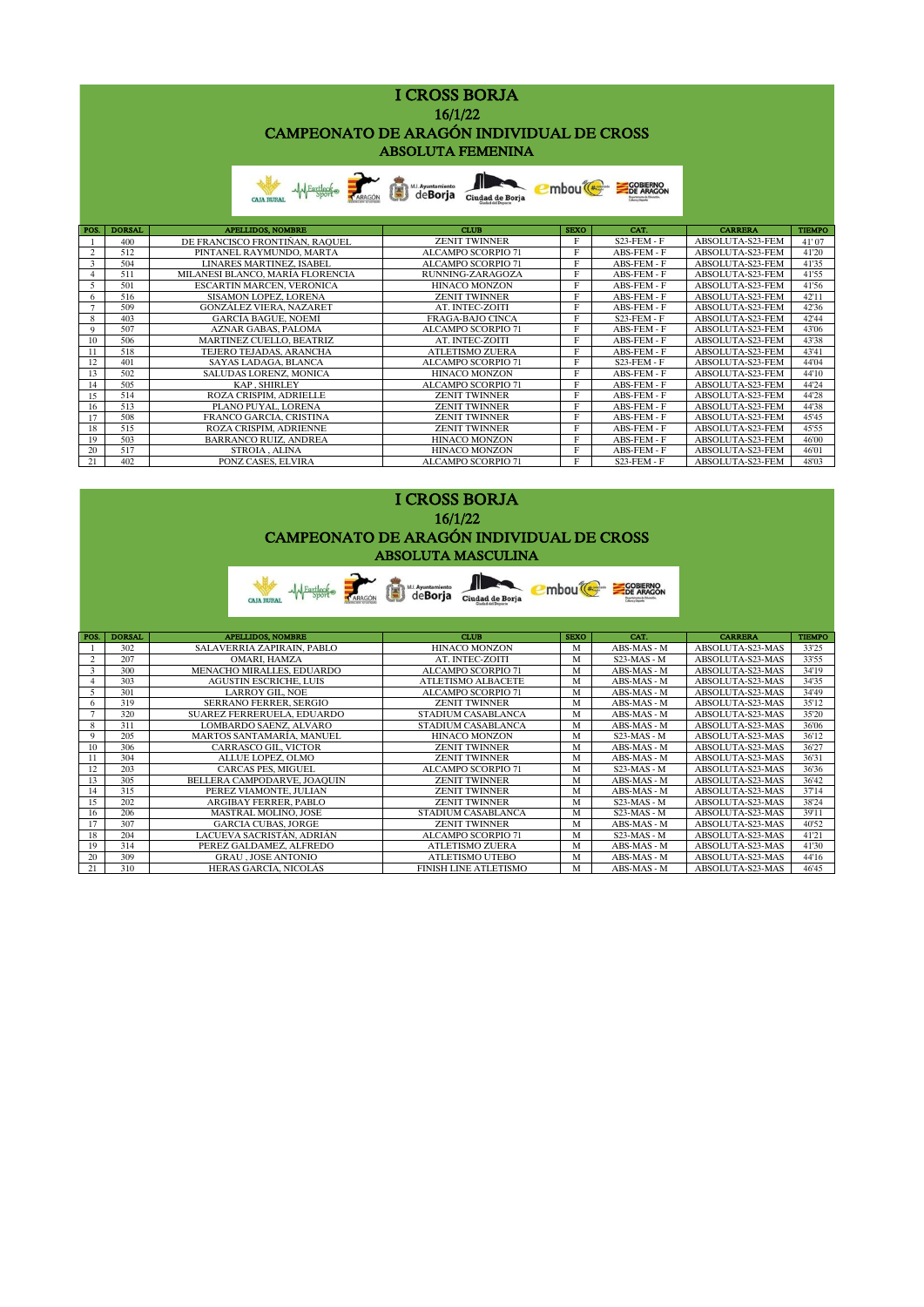| <b>I CROSS BORJA</b>                     |
|------------------------------------------|
| 16/1/22                                  |
| CAMPEONATO DE ARAGÓN INDIVIDUAL DE CROSS |
| <b>ABSOLUTA FEMENINA</b>                 |
|                                          |

| <b>CAIA RURA</b> |  | AM Fartlecke <b>ARAGON</b> CHAPME City of City of City of City of City of City of City of City of City of City of City of City of City of City of City of City of City of City of City of City of City of City of City of City of C | Æ | <b>I'mbou</b> <sup>( 2)</sup> |  |
|------------------|--|-------------------------------------------------------------------------------------------------------------------------------------------------------------------------------------------------------------------------------------|---|-------------------------------|--|
|------------------|--|-------------------------------------------------------------------------------------------------------------------------------------------------------------------------------------------------------------------------------------|---|-------------------------------|--|

| POS. | <b>DORSAL</b> | <b>APELLIDOS, NOMBRE</b>         | <b>CLUB</b>               | <b>SEXO</b> | CAT.           | <b>CARRERA</b>   | <b>TIEMPO</b> |
|------|---------------|----------------------------------|---------------------------|-------------|----------------|------------------|---------------|
|      | 400           | DE FRANCISCO FRONTIÑAN, RAOUEL   | <b>ZENIT TWINNER</b>      | Е           | $S23$ -FEM - F | ABSOLUTA-S23-FEM | 41'07         |
|      | 512           | PINTANEL RAYMUNDO, MARTA         | <b>ALCAMPO SCORPIO 71</b> | Е           | ABS-FEM - F    | ABSOLUTA-S23-FEM | 41'20         |
|      | 504           | <b>LINARES MARTINEZ, ISABEL</b>  | <b>ALCAMPO SCORPIO 71</b> | Е           | ABS-FEM - F    | ABSOLUTA-S23-FEM | 41'35         |
|      | 511           | MILANESI BLANCO, MARÍA FLORENCIA | RUNNING-ZARAGOZA          | Е           | ABS-FEM - F    | ABSOLUTA-S23-FEM | 41'55         |
|      | 501           | <b>ESCARTIN MARCEN, VERONICA</b> | HINACO MONZON             | Е           | ABS-FEM - F    | ABSOLUTA-S23-FEM | 41'56         |
|      | 516           | SISAMON LOPEZ, LORENA            | <b>ZENIT TWINNER</b>      | E           | ABS-FEM - F    | ABSOLUTA-S23-FEM | 42'11         |
|      | 509           | <b>GONZÁLEZ VIERA, NAZARET</b>   | AT. INTEC-ZOITI           | E           | ABS-FEM - F    | ABSOLUTA-S23-FEM | 42'36         |
| 8    | 403           | <b>GARCÍA BAGUE, NOEMÍ</b>       | <b>FRAGA-BAJO CINCA</b>   | Е           | $S23$ -FEM - F | ABSOLUTA-S23-FEM | 42'44         |
| 9    | 507           | <b>AZNAR GABAS, PALOMA</b>       | <b>ALCAMPO SCORPIO 71</b> | E           | ABS-FEM - F    | ABSOLUTA-S23-FEM | 43'06         |
| 10   | 506           | <b>MARTINEZ CUELLO, BEATRIZ</b>  | AT. INTEC-ZOITI           | Е           | ABS-FEM - F    | ABSOLUTA-S23-FEM | 43'38         |
|      | 518           | <b>TEJERO TEJADAS, ARANCHA</b>   | <b>ATLETISMO ZUERA</b>    | Е           | ABS-FEM - F    | ABSOLUTA-S23-FEM | 43'41         |
| 12   | 401           | <b>SAYAS LADAGA, BLANCA</b>      | <b>ALCAMPO SCORPIO 71</b> | Е           | $S23$ -FEM - F | ABSOLUTA-S23-FEM | 44'04         |
| 13   | 502           | <b>SALUDAS LORENZ, MONICA</b>    | <b>HINACO MONZON</b>      | Е           | ABS-FEM - F    | ABSOLUTA-S23-FEM | 44'10         |
| 14   | 505           | <b>KAP. SHIRLEY</b>              | <b>ALCAMPO SCORPIO 71</b> | Е           | ABS-FEM - F    | ABSOLUTA-S23-FEM | 44'24         |
| 15   | 514           | ROZA CRISPIM. ADRIELLE           | <b>ZENIT TWINNER</b>      | Е           | ABS-FEM - F    | ABSOLUTA-S23-FEM | 44'28         |
| 16   | 513           | PLANO PUYAL, LORENA              | <b>ZENIT TWINNER</b>      | Е           | ABS-FEM - F    | ABSOLUTA-S23-FEM | 44'38         |
| 17   | 508           | <b>FRANCO GARCIA, CRISTINA</b>   | <b>ZENIT TWINNER</b>      | E           | ABS-FEM - F    | ABSOLUTA-S23-FEM | 45'45         |
| 18   | 515           | ROZA CRISPIM. ADRIENNE           | <b>ZENIT TWINNER</b>      | E           | ABS-FEM - F    | ABSOLUTA-S23-FEM | 45'55         |
| 19   | 503           | <b>BARRANCO RUIZ, ANDREA</b>     | <b>HINACO MONZON</b>      | Е           | ABS-FEM - F    | ABSOLUTA-S23-FEM | 46'00         |
| 20   | 517           | <b>STROIA. ALINA</b>             | <b>HINACO MONZON</b>      | Е           | ABS-FEM - F    | ABSOLUTA-S23-FEM | 46'01         |
| 21   | 402           | PONZ CASES, ELVIRA               | <b>ALCAMPO SCORPIO 71</b> |             | $S23$ -FEM - F | ABSOLUTA-S23-FEM | 48'03         |

## 16/1/22 CAMPEONATO DE ARAGÓN INDIVIDUAL DE CROSS ABSOLUTA MASCULINA I CROSS BORJA

|                |               | <b>MAL</b> Fartleck<br><b>CAJA RURAL</b> | <b>ED</b> ML Ayuntamiento<br>Ciudad de Borja | mbou <sup>®</sup> | <b>COBIERNO</b><br>DE ARAGON |                  |               |
|----------------|---------------|------------------------------------------|----------------------------------------------|-------------------|------------------------------|------------------|---------------|
| POS.           | <b>DORSAL</b> | <b>APELLIDOS, NOMBRE</b>                 | CLUB                                         | <b>SEXO</b>       | CAT.                         | <b>CARRERA</b>   | <b>TIEMPO</b> |
|                | 302           | SALAVERRIA ZAPIRAIN, PABLO               | <b>HINACO MONZON</b>                         | M                 | ABS-MAS - M                  | ABSOLUTA-S23-MAS | 33'25         |
| 2              | 207           | <b>OMARI. HAMZA</b>                      | AT. INTEC-ZOITI                              | M                 | $S23-MAS - M$                | ABSOLUTA-S23-MAS | 33'55         |
| 3              | 300           | MENACHO MIRALLES, EDUARDO                | ALCAMPO SCORPIO 71                           | M                 | ABS-MAS - M                  | ABSOLUTA-S23-MAS | 34'19         |
| $\overline{4}$ | 303           | <b>AGUSTIN ESCRICHE, LUIS</b>            | <b>ATLETISMO ALBACETE</b>                    | M                 | ABS-MAS - M                  | ABSOLUTA-S23-MAS | 34'35         |
| $\overline{5}$ | 301           | <b>LARROY GIL, NOE</b>                   | ALCAMPO SCORPIO 71                           | M                 | ABS-MAS - M                  | ABSOLUTA-S23-MAS | 34'49         |
| 6              | 319           | <b>SERRANO FERRER, SERGIO</b>            | <b>ZENIT TWINNER</b>                         | M                 | ABS-MAS - M                  | ABSOLUTA-S23-MAS | 35'12         |
| $\overline{7}$ | 320           | SUAREZ FERRERUELA. EDUARDO               | STADIUM CASABLANCA                           | M                 | ABS-MAS - M                  | ABSOLUTA-S23-MAS | 35'20         |
| 8              | 311           | LOMBARDO SAENZ, ALVARO                   | STADIUM CASABLANCA                           | M                 | ABS-MAS - M                  | ABSOLUTA-S23-MAS | 36'06         |
| 9              | 205           | MARTOS SANTAMARÍA, MANUEL                | <b>HINACO MONZON</b>                         | M                 | $S23-MAS - M$                | ABSOLUTA-S23-MAS | 36'12         |
| 10             | 306           | <b>CARRASCO GIL, VICTOR</b>              | <b>ZENIT TWINNER</b>                         | M                 | ABS-MAS - M                  | ABSOLUTA-S23-MAS | 36'27         |
| 11             | 304           | ALLUE LOPEZ, OLMO                        | <b>ZENIT TWINNER</b>                         | M                 | ABS-MAS - M                  | ABSOLUTA-S23-MAS | 36'31         |
| 12             | 203           | <b>CARCAS PES, MIGUEL</b>                | <b>ALCAMPO SCORPIO 71</b>                    | M                 | $S23-MAS - M$                | ABSOLUTA-S23-MAS | 36'36         |
| 13             | 305           | BELLERA CAMPODARVE, JOAQUIN              | <b>ZENIT TWINNER</b>                         | M                 | ABS-MAS - M                  | ABSOLUTA-S23-MAS | 36'42         |
| 14             | 315           | PEREZ VIAMONTE, JULIAN                   | <b>ZENIT TWINNER</b>                         | M                 | ABS-MAS - M                  | ABSOLUTA-S23-MAS | 37'14         |
| 15             | 202           | <b>ARGIBAY FERRER, PABLO</b>             | <b>ZENIT TWINNER</b>                         | M                 | $S23-MAS - M$                | ABSOLUTA-S23-MAS | 38'24         |
| 16             | 206           | MASTRAL MOLINO. JOSÉ                     | STADIUM CASABLANCA                           | M                 | $S23-MAS - M$                | ABSOLUTA-S23-MAS | 39'11         |
| 17             | 307           | <b>GARCIA CUBAS, JORGE</b>               | <b>ZENIT TWINNER</b>                         | M                 | ABS-MAS - M                  | ABSOLUTA-S23-MAS | 40'52         |
| 18             | 204           | LACUEVA SACRISTÁN. ADRIÁN                | <b>ALCAMPO SCORPIO 71</b>                    | M                 | $S23-MAS - M$                | ABSOLUTA-S23-MAS | 41'21         |
| 19             | 314           | PEREZ GALDAMEZ. ALFREDO                  | <b>ATLETISMO ZUERA</b>                       | M                 | ABS-MAS - M                  | ABSOLUTA-S23-MAS | 41'30         |
| 20             | 309           | <b>GRAU . JOSE ANTONIO</b>               | <b>ATLETISMO UTEBO</b>                       | M                 | ABS-MAS - M                  | ABSOLUTA-S23-MAS | 44'16         |
| 21             | 310           | HERAS GARCÍA. NICOLÁS                    | <b>FINISH LINE ATLETISMO</b>                 | M                 | ABS-MAS - M                  | ABSOLUTA-S23-MAS | 46'45         |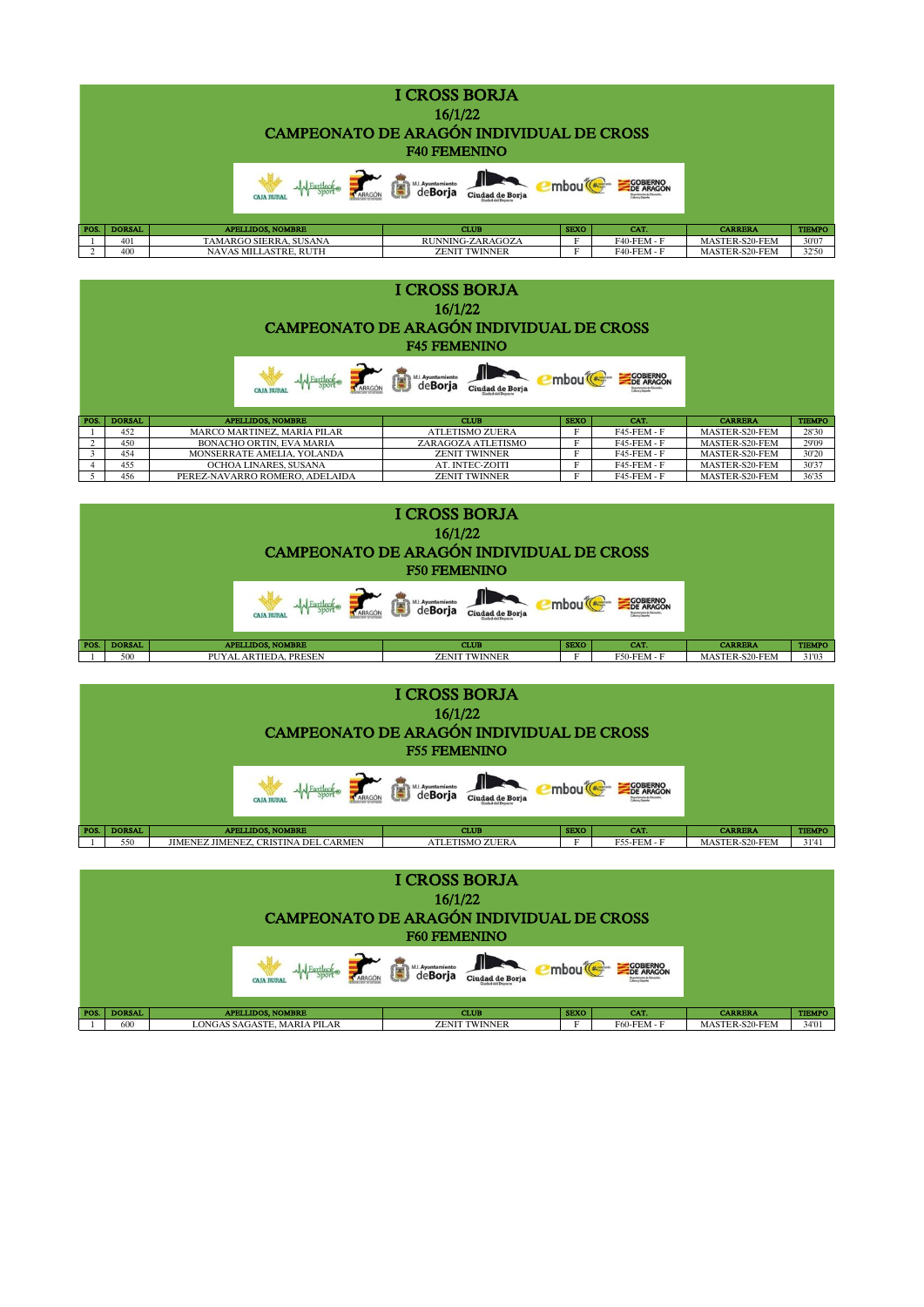|      |               | CAMPEONATO DE ARAGÓN INDIVIDUAL DE CROSS |                            |             |                              |                |               |
|------|---------------|------------------------------------------|----------------------------|-------------|------------------------------|----------------|---------------|
|      |               | <b>CAJA RURA</b>                         | deBoria<br>Ciudad de Borja |             | <b>COBIERNO</b><br>DE ARAGON |                |               |
| POS. | <b>DORSAL</b> | <b>APELLIDOS, NOMBRE</b>                 | <b>CLUB</b>                | <b>SEXO</b> | CAT.                         | <b>CARRERA</b> | <b>TIEMPO</b> |
|      | 401           | TAMARGO SIERRA. SUSANA                   | <b>RUNNING-ZARAGOZA</b>    |             | <b>F40-FEM-F</b>             | MASTER-S20-FEM | 30'07         |
|      | 400           | <b>NAVAS MILLASTRE, RUTH</b>             | <b>ZENIT TWINNER</b>       |             | <b>F40-FEM - F</b>           | MASTER-S20-FEM | 32'50         |

| <b>I CROSS BORJA</b><br>16/1/22<br>CAMPEONATO DE ARAGÓN INDIVIDUAL DE CROSS<br><b>F45 FEMENINO</b> |               |                                |                            |             |                              |                |               |  |
|----------------------------------------------------------------------------------------------------|---------------|--------------------------------|----------------------------|-------------|------------------------------|----------------|---------------|--|
|                                                                                                    |               |                                | deBoria<br>Ciudad de Borja |             | <b>COBIERNO</b><br>DE ARAGON |                |               |  |
| POS.                                                                                               | <b>DORSAL</b> | <b>APELLIDOS, NOMBRE</b>       | <b>CLUB</b>                | <b>SEXO</b> | CAT.                         | <b>CARRERA</b> | <b>TIEMPO</b> |  |
|                                                                                                    | 452           | MARCO MARTINEZ. MARÍA PILAR    | <b>ATLETISMO ZUERA</b>     | E           | <b>F45-FEM-F</b>             | MASTER-S20-FEM | 28'30         |  |
|                                                                                                    | 450           | BONACHO ORTIN. EVA MARIA       | ZARAGOZA ATLETISMO         | Е           | <b>F45-FEM-F</b>             | MASTER-S20-FEM | 29'09         |  |
| 3                                                                                                  | 454           | MONSERRATE AMELIA. YOLANDA     | <b>ZENIT TWINNER</b>       | Е           | <b>F45-FEM-F</b>             | MASTER-S20-FEM | 30'20         |  |
|                                                                                                    | 455           | OCHOA LINARES, SUSANA          | AT. INTEC-ZOITI            | E           | <b>F45-FEM - F</b>           | MASTER-S20-FEM | 30'37         |  |
|                                                                                                    | 456           | PEREZ-NAVARRO ROMERO, ADELAIDA | <b>ZENIT TWINNER</b>       | Е           | <b>F45-FEM - F</b>           | MASTER-S20-FEM | 36'35         |  |



| <b>I CROSS BORJA</b><br>16/1/22<br>CAMPEONATO DE ARAGÓN INDIVIDUAL DE CROSS<br><b>F55 FEMENINO</b> |               |                                      |                        |             |                    |                |               |
|----------------------------------------------------------------------------------------------------|---------------|--------------------------------------|------------------------|-------------|--------------------|----------------|---------------|
|                                                                                                    |               | <b>GOBIERNO</b>                      |                        |             |                    |                |               |
| POS.                                                                                               | <b>DORSAL</b> | <b>APELLIDOS, NOMBRE</b>             | <b>CLUB</b>            | <b>SEXO</b> | CAT.               | <b>CARRERA</b> | <b>TIEMPO</b> |
|                                                                                                    | 550           | JIMENEZ JIMENEZ, CRISTINA DEL CARMEN | <b>ATLETISMO ZUERA</b> |             | <b>F55-FEM - F</b> | MASTER-S20-FEM | 31'41         |

| <b>I CROSS BORJA</b><br>16/1/22<br>CAMPEONATO DE ARAGÓN INDIVIDUAL DE CROSS<br><b>F60 FEMENINO</b>                            |                      |                                                         |                                     |             |                           |                                  |                        |
|-------------------------------------------------------------------------------------------------------------------------------|----------------------|---------------------------------------------------------|-------------------------------------|-------------|---------------------------|----------------------------------|------------------------|
| <b>COBIERNO</b><br>DE ARAGON<br>M.I. Ayuntamiento<br>個<br>mbou <sup>(</sup><br>Ciudad de Boria<br>ARAGÓN<br><b>CAJA RURAI</b> |                      |                                                         |                                     |             |                           |                                  |                        |
| POS.                                                                                                                          | <b>DORSAL</b><br>600 | <b>APELLIDOS, NOMBRE</b><br>LONGAS SAGASTE, MARIA PILAR | <b>CLUB</b><br><b>ZENIT TWINNER</b> | <b>SEXO</b> | CAT.<br>$F60$ - $FEM - F$ | <b>CARRERA</b><br>MASTER-S20-FEM | <b>TIEMPO</b><br>34'01 |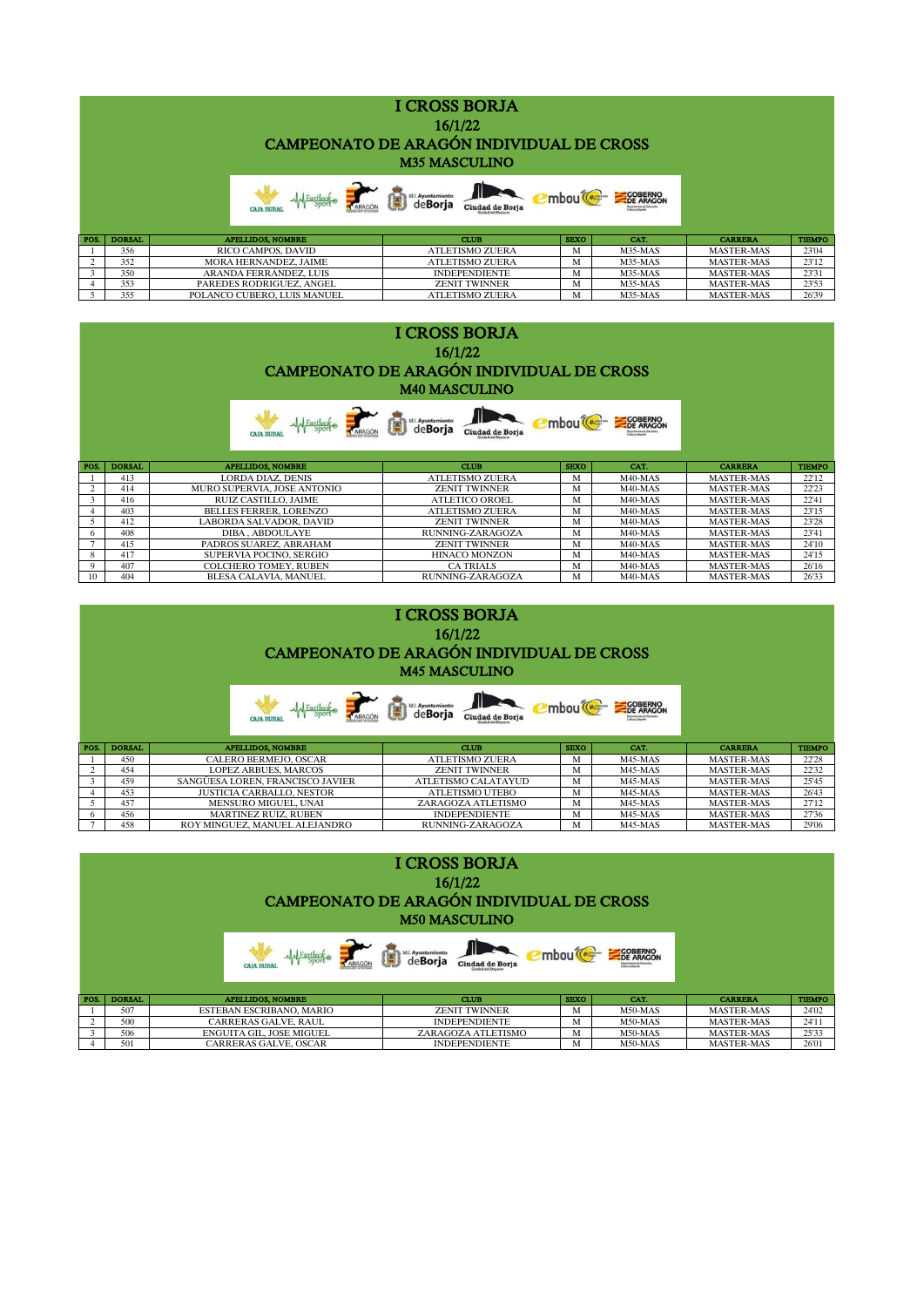|      |               | Martieck <b>ARAGON</b>      | deBorja Ciudad de Borja | mbou <sup>(</sup> | <b>COBIERNO</b><br>DE ARAGON |                   |               |
|------|---------------|-----------------------------|-------------------------|-------------------|------------------------------|-------------------|---------------|
| POS. | <b>DORSAL</b> | <b>APELLIDOS, NOMBRE</b>    | <b>CLUB</b>             | <b>SEXO</b>       | CAT.                         | <b>CARRERA</b>    | <b>TIEMPO</b> |
|      | 356           | RICO CAMPOS, DAVID          | <b>ATLETISMO ZUERA</b>  | м                 | M35-MAS                      | <b>MASTER-MAS</b> | 23'04         |
|      | 352           | MORA HERNANDEZ, JAIME       | <b>ATLETISMO ZUERA</b>  | м                 | M35-MAS                      | <b>MASTER-MAS</b> | 23'12         |
|      | 350           | ARANDA FERRÁNDEZ, LUIS      | <b>INDEPENDIENTE</b>    | M                 | M35-MAS                      | <b>MASTER-MAS</b> | 23'31         |
|      | 353           | PAREDES RODRIGUEZ, ANGEL    | <b>ZENIT TWINNER</b>    | M                 | M35-MAS                      | <b>MASTER-MAS</b> | 23'53         |
|      | 355           | POLANCO CUBERO, LUIS MANUEL | <b>ATLETISMO ZUERA</b>  | M                 | M35-MAS                      | <b>MASTER-MAS</b> | 26'39         |

|      |               | CAMPEONATO DE ARAGÓN INDIVIDUAL DE CROSS |                                      |             |                              |                   |               |
|------|---------------|------------------------------------------|--------------------------------------|-------------|------------------------------|-------------------|---------------|
|      |               |                                          | M.L. Ayuntamiento<br>Ciudad de Borja |             | <b>COBIERNO</b><br>DE ARAGON |                   |               |
| POS. | <b>DORSAL</b> | <b>APELLIDOS, NOMBRE</b>                 | <b>CLUB</b>                          | <b>SEXO</b> | CAT.                         | <b>CARRERA</b>    | <b>TIEMPO</b> |
|      | 413           | LORDA DIAZ. DENIS                        | <b>ATLETISMO ZUERA</b>               | M           | $M40-MAS$                    | <b>MASTER-MAS</b> | 22'12         |
|      | 414           | MURO SUPERVIA, JOSE ANTONIO              | <b>ZENIT TWINNER</b>                 | M           | M40-MAS                      | <b>MASTER-MAS</b> | 22'23         |
| 3    | 416           | RUIZ CASTILLO, JAIME                     | ATLETICO OROEL                       | M           | M40-MAS                      | <b>MASTER-MAS</b> | 22'41         |
|      | 403           | <b>BELLES FERRER, LORENZO</b>            | ATLETISMO ZUERA                      | M           | M40-MAS                      | <b>MASTER-MAS</b> | 23'15         |
|      |               |                                          |                                      |             |                              |                   |               |
|      | 412           | LABORDA SALVADOR, DAVID                  | <b>ZENIT TWINNER</b>                 | M           | M40-MAS                      | <b>MASTER-MAS</b> | 23'28         |
|      | 408           | DIBA. ABDOULAYE                          | RUNNING-ZARAGOZA                     | M           | M40-MAS                      | <b>MASTER-MAS</b> | 23'41         |
|      | 415           | PADROS SUAREZ, ABRAHAM                   | <b>ZENIT TWINNER</b>                 | M           | M40-MAS                      | <b>MASTER-MAS</b> | 24'10         |
|      | 417           | SUPERVIA POCINO, SERGIO                  | <b>HINACO MONZON</b>                 | M           | M40-MAS                      | <b>MASTER-MAS</b> | 24'15         |
| 9    | 407           | <b>COLCHERO TOMEY, RUBEN</b>             | <b>CA TRIALS</b>                     | M           | M40-MAS                      | <b>MASTER-MAS</b> | 26'16         |

| <b>I CROSS BORJA</b><br>16/1/22<br>CAMPEONATO DE ARAGÓN INDIVIDUAL DE CROSS<br><b>M45 MASCULINO</b> |               |                                  |                                                    |             |                              |                   |               |  |
|-----------------------------------------------------------------------------------------------------|---------------|----------------------------------|----------------------------------------------------|-------------|------------------------------|-------------------|---------------|--|
|                                                                                                     |               |                                  | ML Ayuntamiento<br>de <b>Borja</b> Ciudad de Borja |             | <b>COBIERNO</b><br>DE ARAGON |                   |               |  |
| POS.                                                                                                | <b>DORSAL</b> | <b>APELLIDOS, NOMBRE</b>         | <b>CLUB</b>                                        | <b>SEXO</b> | CAT.                         | <b>CARRERA</b>    | <b>TIEMPO</b> |  |
|                                                                                                     | 450           | CALERO BERMEJO, OSCAR            | <b>ATLETISMO ZUERA</b>                             | M           | $M45-MAS$                    | <b>MASTER-MAS</b> | 22'28         |  |
|                                                                                                     | 454           | <b>LOPEZ ARBUES, MARCOS</b>      | <b>ZENIT TWINNER</b>                               | M           | M45-MAS                      | <b>MASTER-MAS</b> | 22'32         |  |
|                                                                                                     | 459           | SANGÜESA LOREN, FRANCISCO JAVIER | ATLETISMO CALATAYUD                                | М           | M45-MAS                      | <b>MASTER-MAS</b> | 25'45         |  |
|                                                                                                     | 453           | <b>JUSTICIA CARBALLO, NESTOR</b> | <b>ATLETISMO UTEBO</b>                             | м           | M45-MAS                      | <b>MASTER-MAS</b> | 26'43         |  |
|                                                                                                     | 457           | <b>MENSURO MIGUEL, UNAI</b>      | ZARAGOZA ATLETISMO                                 | М           | M45-MAS                      | <b>MASTER-MAS</b> | 27'12         |  |
| 6                                                                                                   | 456           | <b>MARTINEZ RUIZ, RUBEN</b>      | <b>INDEPENDIENTE</b>                               | M           | M45-MAS                      | <b>MASTER-MAS</b> | 27'36         |  |
|                                                                                                     | 458           | ROY MINGUEZ, MANUEL ALEJANDRO    | RUNNING-ZARAGOZA                                   | м           | M45-MAS                      | <b>MASTER-MAS</b> | 29'06         |  |

|      |               | CAMPEONATO DE ARAGÓN INDIVIDUAL DE CROSS |                      |             |                              |                   |               |
|------|---------------|------------------------------------------|----------------------|-------------|------------------------------|-------------------|---------------|
|      |               |                                          | deBorja              |             | <b>COBIERNO</b><br>DE ARAGON |                   |               |
| POS. | <b>DORSAL</b> | <b>APELLIDOS, NOMBRE</b>                 | <b>CLUB</b>          | <b>SEXO</b> | CAT.                         | <b>CARRERA</b>    | <b>TIEMPO</b> |
|      | 507           | ESTEBAN ESCRIBANO, MARIO                 | <b>ZENIT TWINNER</b> | M           | M50-MAS                      | <b>MASTER-MAS</b> | 24'02         |
|      | 500           | <b>CARRERAS GALVE, RAUL</b>              | <b>INDEPENDIENTE</b> | M           | $M50-MAS$                    | <b>MASTER-MAS</b> | 24'11         |
| 3    | 506           | <b>ENGUITA GIL, JOSE MIGUEL</b>          | ZARAGOZA ATLETISMO   | M           | M50-MAS                      | <b>MASTER-MAS</b> | 25'33         |
|      | 501           | <b>CARRERAS GALVE, OSCAR</b>             | <b>INDEPENDIENTE</b> | M           | M50-MAS                      | <b>MASTER-MAS</b> | 26'01         |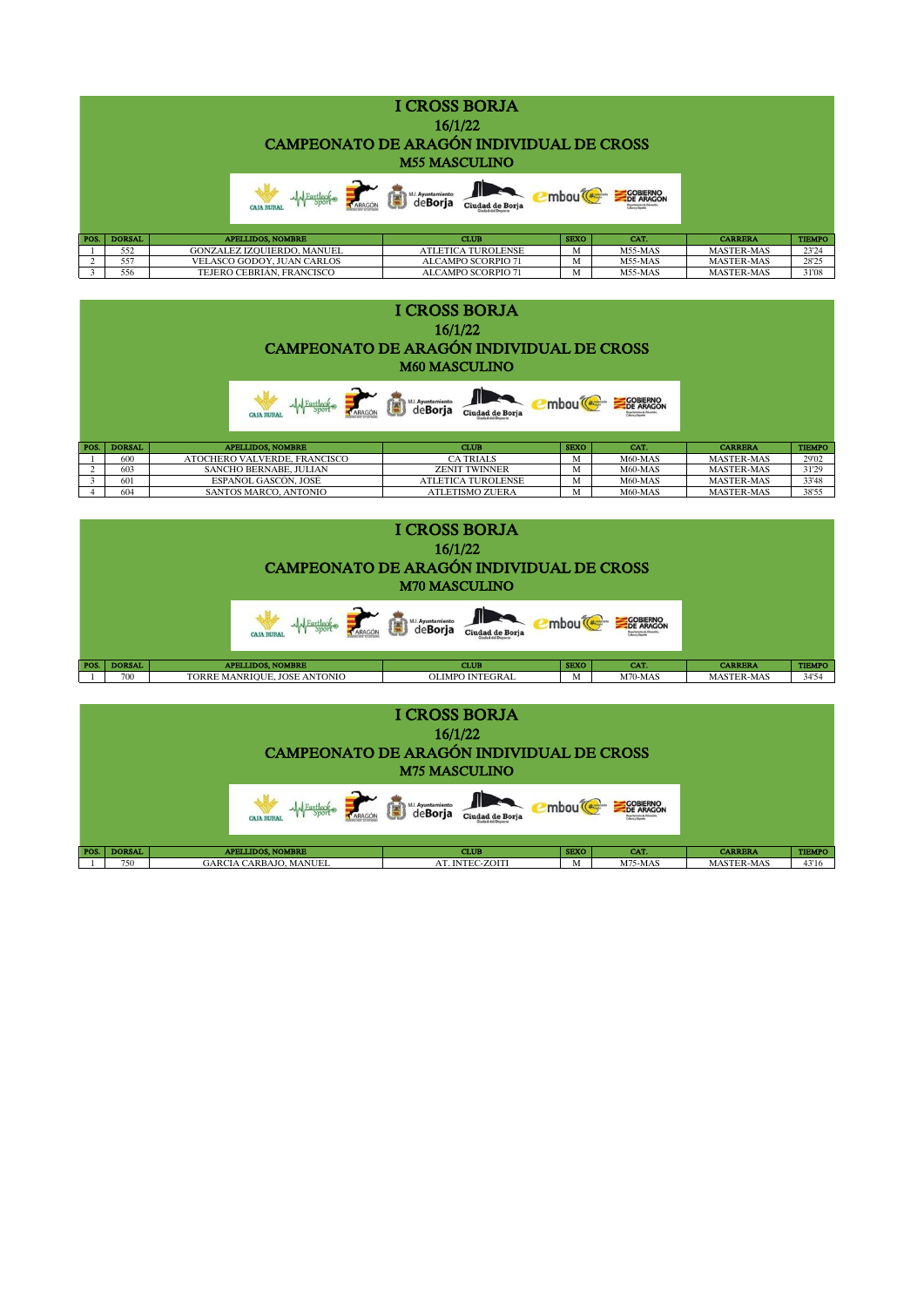|      |               |                                   | (日)<br>M.I. Ayuntamiento  |             | <b>COBIERNO</b><br>DE ARAGON<br><b>Teaching the Brookley</b> |                   |               |
|------|---------------|-----------------------------------|---------------------------|-------------|--------------------------------------------------------------|-------------------|---------------|
| POS. | <b>DORSAL</b> | <b>APELLIDOS, NOMBRE</b>          | <b>CLUB</b>               | <b>SEXO</b> | CAT.                                                         | <b>CARRERA</b>    | <b>TIEMPO</b> |
|      | 552           | <b>GONZALEZ IZOUIERDO, MANUEL</b> | <b>ATLETICA TUROLENSE</b> | M           | M55-MAS                                                      | <b>MASTER-MAS</b> | 23'24         |
|      | 557           | VELASCO GODOY, JUAN CARLOS        | <b>ALCAMPO SCORPIO 71</b> | M           | M55-MAS                                                      | <b>MASTER-MAS</b> | 28'25         |
|      | 556           | TEJERO CEBRIÁN, FRANCISCO         | <b>ALCAMPO SCORPIO 71</b> | М           | M55-MAS                                                      | <b>MASTER-MAS</b> | 31'08         |

| <b>I CROSS BORJA</b><br>16/1/22<br>CAMPEONATO DE ARAGÓN INDIVIDUAL DE CROSS<br><b>M60 MASCULINO</b> |               |                              |                           |             |                       |                   |               |  |  |
|-----------------------------------------------------------------------------------------------------|---------------|------------------------------|---------------------------|-------------|-----------------------|-------------------|---------------|--|--|
|                                                                                                     |               |                              | M.L. Ayuntamiento<br>T    |             | COBIERNO<br>DE ARAGON |                   |               |  |  |
| POS.                                                                                                | <b>DORSAL</b> | <b>APELLIDOS, NOMBRE</b>     | <b>CLUB</b>               | <b>SEXO</b> | CAT.                  | <b>CARRERA</b>    | <b>TIEMPO</b> |  |  |
|                                                                                                     | 600           | ATOCHERO VALVERDE, FRANCISCO | <b>CA TRIALS</b>          | M           | M60-MAS               | <b>MASTER-MAS</b> | 29'02         |  |  |
|                                                                                                     | 603           | SANCHO BERNABE, JULIAN       | <b>ZENIT TWINNER</b>      | M           | M60-MAS               | <b>MASTER-MAS</b> | 31'29         |  |  |
| 3                                                                                                   | 601           | ESPAÑOL GASCÓN, JOSÉ         | <b>ATLETICA TUROLENSE</b> | M           | M60-MAS               | <b>MASTER-MAS</b> | 33'48         |  |  |
|                                                                                                     | 604           | SANTOS MARCO, ANTONIO        | <b>ATLETISMO ZUERA</b>    | M           | M60-MAS               | <b>MASTER-MAS</b> | 38'55         |  |  |

|      |               | CAMPEONATO DE ARAGÓN INDIVIDUAL DE CROSS |                        |                      |                                                                             |                   |               |
|------|---------------|------------------------------------------|------------------------|----------------------|-----------------------------------------------------------------------------|-------------------|---------------|
|      |               | ARAGÓN                                   | 信<br>M.I. Ayuntamiento | mbou <sup>(###</sup> | <b>COBIERNO</b><br>DE ARAGON<br>Departamento de Educacio<br>Terra y Orquela |                   |               |
| POS. | <b>DORSAL</b> | <b>APELLIDOS, NOMBRE</b>                 | <b>CLUB</b>            | <b>SEXO</b>          | CAT.                                                                        | <b>CARRERA</b>    | <b>TIEMPO</b> |
|      | 700           | TORRE MANRIOUE. JOSE ANTONIO             | <b>OLIMPO INTEGRAL</b> | М                    | $M70-MAS$                                                                   | <b>MASTER-MAS</b> | 34'54         |

| <b>I CROSS BORJA</b><br>16/1/22<br>CAMPEONATO DE ARAGÓN INDIVIDUAL DE CROSS<br><b>M75 MASCULINO</b> |               |  |                               |          |  |                          |                 |             |                              |                   |               |
|-----------------------------------------------------------------------------------------------------|---------------|--|-------------------------------|----------|--|--------------------------|-----------------|-------------|------------------------------|-------------------|---------------|
|                                                                                                     |               |  | <b>CAIA RURAL</b>             | Fartleck |  | Ē<br>& M.I. Ayuntamiento |                 |             | <b>COBIERNO</b><br>DE ARAGON |                   |               |
| POS.                                                                                                | <b>DORSAL</b> |  | <b>APELLIDOS, NOMBRE</b>      |          |  |                          | <b>CLUB</b>     | <b>SEXO</b> | CAT.                         | <b>CARRERA</b>    | <b>TIEMPO</b> |
|                                                                                                     | 750           |  | <b>GARCIA CARBAJO, MANUEL</b> |          |  |                          | AT. INTEC-ZOITI | M           | $M75-MAS$                    | <b>MASTER-MAS</b> | 43'16         |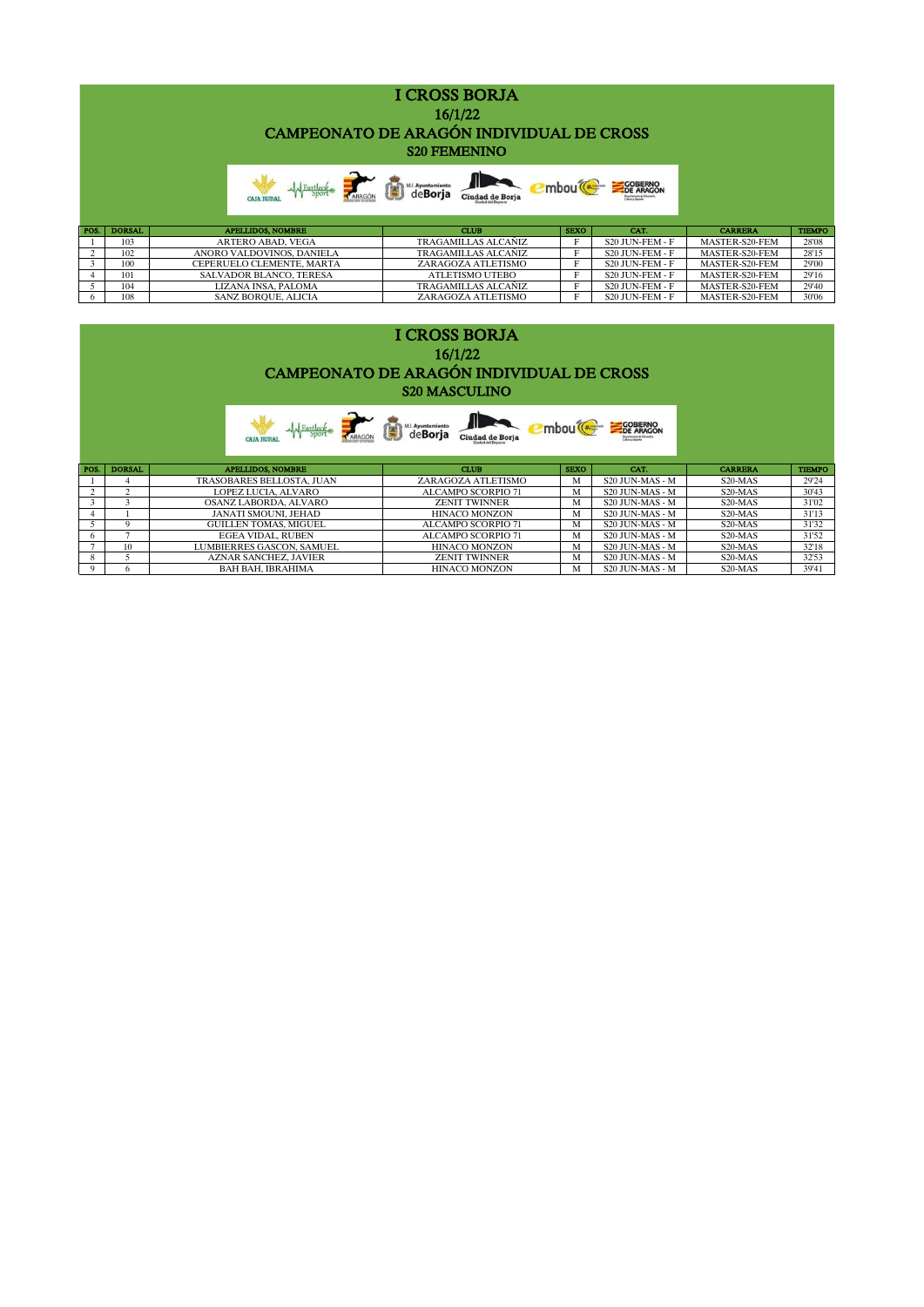|      | <b>I CROSS BORJA</b><br>16/1/22<br>CAMPEONATO DE ARAGÓN INDIVIDUAL DE CROSS<br><b>S20 FEMENINO</b> |                                |                                                         |             |                              |                |               |  |  |  |
|------|----------------------------------------------------------------------------------------------------|--------------------------------|---------------------------------------------------------|-------------|------------------------------|----------------|---------------|--|--|--|
|      |                                                                                                    |                                | M. Ayuntamiento<br>de <b>Borja</b> Ciudad de Borja<br>宫 |             | <b>COBIERNO</b><br>DE ARAGON |                |               |  |  |  |
| POS. | <b>DORSAL</b>                                                                                      | <b>APELLIDOS, NOMBRE</b>       | <b>CLUB</b>                                             | <b>SEXO</b> | CAT.                         | <b>CARRERA</b> | <b>TIEMPO</b> |  |  |  |
|      | 103                                                                                                | <b>ARTERO ABAD, VEGA</b>       | <b>TRAGAMILLAS ALCAÑIZ</b>                              | F           | S20 JUN-FEM - F              | MASTER-S20-FEM | 28'08         |  |  |  |
| 2    | 102                                                                                                | ANORO VALDOVINOS, DANIELA      | <b>TRAGAMILLAS ALCAÑIZ</b>                              | Е           | S20 JUN-FEM - F              | MASTER-S20-FEM | 28'15         |  |  |  |
| 3    | 100                                                                                                | CEPERUELO CLEMENTE, MARTA      | ZARAGOZA ATLETISMO                                      | F           | S20 JUN-FEM - F              | MASTER-S20-FEM | 29'00         |  |  |  |
|      | 101                                                                                                | <b>SALVADOR BLANCO, TERESA</b> | <b>ATLETISMO UTEBO</b>                                  | F           | S20 JUN-FEM - F              | MASTER-S20-FEM | 29'16         |  |  |  |
| 5    | 104                                                                                                | LIZANA INSA. PALOMA            | <b>TRAGAMILLAS ALCAÑIZ</b>                              | F           | S20 JUN-FEM - F              | MASTER-S20-FEM | 29'40         |  |  |  |
| 6    | 108                                                                                                | SANZ BORQUE, ALICIA            | ZARAGOZA ATLETISMO                                      | F           | S20 JUN-FEM - F              | MASTER-S20-FEM | 30'06         |  |  |  |

|      | <b>I CROSS BORJA</b><br>16/1/22<br>CAMPEONATO DE ARAGÓN INDIVIDUAL DE CROSS<br><b>S20 MASCULINO</b> |                                               |                                      |             |                              |                      |               |  |  |  |  |
|------|-----------------------------------------------------------------------------------------------------|-----------------------------------------------|--------------------------------------|-------------|------------------------------|----------------------|---------------|--|--|--|--|
|      |                                                                                                     | <b>A</b> Fartleck RARAGON<br><b>CAIA RURA</b> | M.L. Ayuntamiento<br>Ciudad de Borja |             | <b>COBIERNO</b><br>DE ARAGON |                      |               |  |  |  |  |
| POS. | <b>DORSAL</b>                                                                                       | <b>APELLIDOS, NOMBRE</b>                      | <b>CLUB</b>                          | <b>SEXO</b> | CAT.                         | <b>CARRERA</b>       | <b>TIEMPO</b> |  |  |  |  |
|      |                                                                                                     | TRASOBARES BELLOSTA, JUAN                     | ZARAGOZA ATLETISMO                   | M           | S20 JUN-MAS - M              | S20-MAS              | 29'24         |  |  |  |  |
|      | 2                                                                                                   | LOPEZ LUCIA, ALVARO                           | <b>ALCAMPO SCORPIO 71</b>            | M           | S20 JUN-MAS - M              | S20-MAS              | 30'43         |  |  |  |  |
| 3    | 3                                                                                                   | OSANZ LABORDA, ALVARO                         | <b>ZENIT TWINNER</b>                 | M           | S20 JUN-MAS - M              | S20-MAS              | 31'02         |  |  |  |  |
|      |                                                                                                     | JANATI SMOUNI, JEHAD                          | <b>HINACO MONZON</b>                 | M           | S20 JUN-MAS - M              | S <sub>20</sub> -MAS | 31'13         |  |  |  |  |
|      | Q                                                                                                   | <b>GUILLEN TOMAS, MIGUEL</b>                  | <b>ALCAMPO SCORPIO 71</b>            | M           | S20 JUN-MAS - M              | S20-MAS              | 31'32         |  |  |  |  |
| 6    | $\mathbf{\tau}$                                                                                     | <b>EGEA VIDAL, RUBEN</b>                      | <b>ALCAMPO SCORPIO 71</b>            | M           | S20 JUN-MAS - M              | S20-MAS              | 31'52         |  |  |  |  |
|      | 10                                                                                                  | LUMBIERRES GASCON, SAMUEL                     | <b>HINACO MONZON</b>                 | M           | S20 JUN-MAS - M              | S20-MAS              | 32'18         |  |  |  |  |
| 8    |                                                                                                     | <b>AZNAR SANCHEZ, JAVIER</b>                  | <b>ZENIT TWINNER</b>                 | M           | S20 JUN-MAS - M              | S20-MAS              | 32'53         |  |  |  |  |
| 9    | 6.                                                                                                  | BAH BAH. IBRAHIMA                             | <b>HINACO MONZON</b>                 | M           | S20 JUN-MAS - M              | S <sub>20</sub> -MAS | 39'41         |  |  |  |  |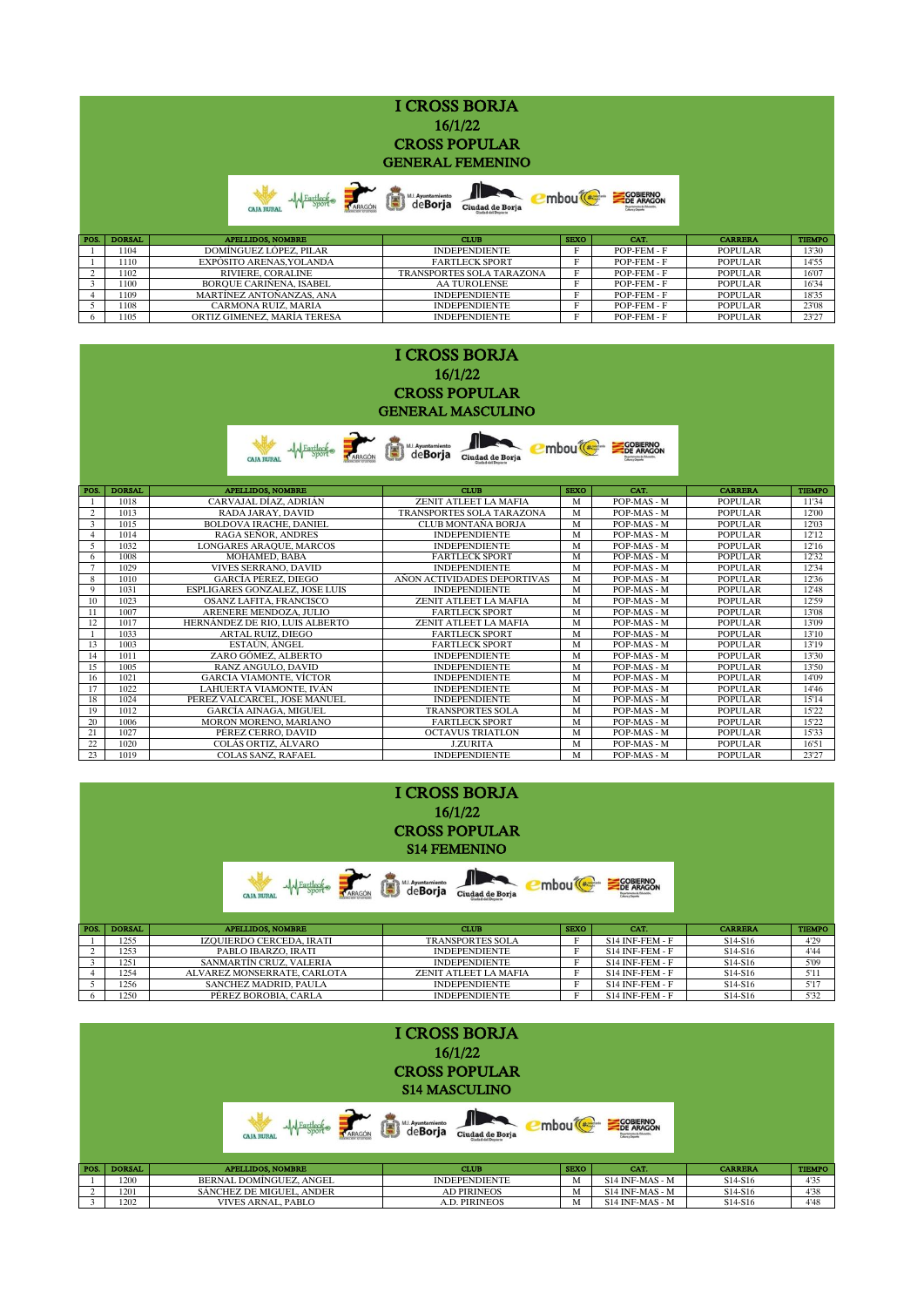|      |               | <b>CAJA RURA</b>               | 宙<br>deBorja Ciudad de Borja     |             | <b>COBIERNO</b><br>DE ARAGON |                |               |
|------|---------------|--------------------------------|----------------------------------|-------------|------------------------------|----------------|---------------|
| POS. | <b>DORSAL</b> | <b>APELLIDOS, NOMBRE</b>       | <b>CLUB</b>                      | <b>SEXO</b> | CAT.                         | <b>CARRERA</b> | <b>TIEMPO</b> |
|      | 1104          | DOMÍNGUEZ LÓPEZ, PILAR         | <b>INDEPENDIENTE</b>             | E           | POP-FEM - F                  | POPULAR        | 13'30         |
|      | 1110          | EXPÓSITO ARENAS.YOLANDA        | <b>FARTLECK SPORT</b>            | Е           | POP-FEM - F                  | <b>POPULAR</b> | 14'55         |
| 2    | 1102          | RIVIERE, CORALINE              | <b>TRANSPORTES SOLA TARAZONA</b> | Е           | POP-FEM - F                  | <b>POPULAR</b> | 16'07         |
|      | 1100          | <b>BOROUE CARINENA, ISABEL</b> | <b>AA TUROLENSE</b>              | E           | POP-FEM - F                  | <b>POPULAR</b> | 16'34         |

| <b>I CROSS BORJA</b>                                                   |  |
|------------------------------------------------------------------------|--|
| 16/1/22                                                                |  |
| <b>CROSS POPULAR</b>                                                   |  |
| <b>GENERAL MASCULINO</b>                                               |  |
| <b>COBIERNO</b><br>DE ARAGON<br>M.I. Ayuntamiento<br>mbou <sup>(</sup> |  |
| Eartleck,<br>Ciudad de Borja<br>ARAGÓN<br><b>CAJA RURAL</b>            |  |

1109 MARTÍNEZ ANTOÑANZAS, ANA INDEPENDIENTE F POP-FEM - F POPULAR 18'35 5 1108 CARMONA RUIZ, MARIA INDEPENDIENTE F POP-FEM - F POPULAR 23'08 6 1105 ORTIZ GIMENEZ, MARÍA TERESA INDEPENDIENTE F POP-FEM - F POPULAR 23'27

| POS.           | <b>DORSAL</b> | <b>APELLIDOS, NOMBRE</b>       | <b>CLUB</b>                      | <b>SEXO</b> | CAT.        | <b>CARRERA</b> | <b>TIEMPO</b> |
|----------------|---------------|--------------------------------|----------------------------------|-------------|-------------|----------------|---------------|
|                | 1018          | CARVAJAL DÍAZ, ADRIÁN          | ZENIT ATLEET LA MAFIA            | M           | POP-MAS - M | <b>POPULAR</b> | 11'34         |
| $\overline{2}$ | 1013          | RADA JARAY, DAVID              | <b>TRANSPORTES SOLA TARAZONA</b> | M           | POP-MAS - M | <b>POPULAR</b> | 12'00         |
| 3              | 1015          | <b>BOLDOVA IRACHE, DANIEL</b>  | <b>CLUB MONTAÑA BORJA</b>        | M           | POP-MAS - M | <b>POPULAR</b> | 12'03         |
|                | 1014          | <b>RAGA SEÑOR, ANDRES</b>      | <b>INDEPENDIENTE</b>             | M           | POP-MAS - M | <b>POPULAR</b> | 12'12         |
|                | 1032          | LONGARES ARAQUE, MARCOS        | <b>INDEPENDIENTE</b>             | M           | POP-MAS - M | <b>POPULAR</b> | 12'16         |
| 6              | 1008          | <b>MOHAMED, BABÁ</b>           | <b>FARTLECK SPORT</b>            | M           | POP-MAS - M | <b>POPULAR</b> | 12'32         |
|                | 1029          | <b>VIVES SERRANO, DAVID</b>    | <b>INDEPENDIENTE</b>             | M           | POP-MAS - M | <b>POPULAR</b> | 12'34         |
| 8              | 1010          | <b>GARCÍA PÉREZ, DIEGO</b>     | AÑON ACTIVIDADES DEPORTIVAS      | M           | POP-MAS - M | <b>POPULAR</b> | 12'36         |
| 9              | 1031          | ESPLIGARES GONZALEZ. JOSE LUIS | <b>INDEPENDIENTE</b>             | M           | POP-MAS - M | <b>POPULAR</b> | 12'48         |
| 10             | 1023          | OSANZ LAFITA, FRANCISCO        | ZENIT ATLEET LA MAFIA            | M           | POP-MAS - M | <b>POPULAR</b> | 12'59         |
| 11             | 1007          | ARENERE MENDOZA, JULIO         | <b>FARTLECK SPORT</b>            | M           | POP-MAS - M | <b>POPULAR</b> | 13'08         |
| 12             | 1017          | HERNÁNDEZ DE RIO. LUIS ALBERTO | ZENIT ATLEET LA MAFIA            | M           | POP-MAS - M | <b>POPULAR</b> | 13'09         |
|                | 1033          | <b>ARTAL RUIZ, DIEGO</b>       | <b>FARTLECK SPORT</b>            | M           | POP-MAS - M | <b>POPULAR</b> | 13'10         |
| 13             | 1003          | ESTAÚN, ÁNGEL                  | <b>FARTLECK SPORT</b>            | M           | POP-MAS - M | <b>POPULAR</b> | 13'19         |
| 14             | 1011          | ZARO GÓMEZ, ALBERTO            | <b>INDEPENDIENTE</b>             | M           | POP-MAS - M | <b>POPULAR</b> | 13'30         |
| 15             | 1005          | RANZ ANGULO, DAVID             | <b>INDEPENDIENTE</b>             | M           | POP-MAS - M | <b>POPULAR</b> | 13'50         |
| 16             | 1021          | GARCIA VIAMONTE. VÍCTOR        | <b>INDEPENDIENTE</b>             | M           | POP-MAS - M | <b>POPULAR</b> | 14'09         |
| 17             | 1022          | LAHUERTA VIAMONTE. IVÁN        | <b>INDEPENDIENTE</b>             | M           | POP-MAS - M | <b>POPULAR</b> | 14'46         |
| 18             | 1024          | PEREZ VALCARCEL, JOSE MANUEL   | <b>INDEPENDIENTE</b>             | M           | POP-MAS - M | <b>POPULAR</b> | 15'14         |
| 19             | 1012          | <b>GARCÍA AINAGA, MIGUEL</b>   | <b>TRANSPORTES SOLA</b>          | M           | POP-MAS - M | <b>POPULAR</b> | 15'22         |
| 20             | 1006          | MORON MORENO, MARIANO          | <b>FARTLECK SPORT</b>            | M           | POP-MAS - M | <b>POPULAR</b> | 15'22         |
| 21             | 1027          | PÉREZ CERRO, DAVID             | <b>OCTAVUS TRIATLON</b>          | M           | POP-MAS - M | <b>POPULAR</b> | 15'33         |
| 22             | 1020          | COLÁS ORTIZ, ÁLVARO            | <b>J.ZURITA</b>                  | M           | POP-MAS - M | <b>POPULAR</b> | 16'51         |
| 23             | 1019          | <b>COLAS SANZ, RAFAEL</b>      | <b>INDEPENDIENTE</b>             | M           | POP-MAS - M | <b>POPULAR</b> | 23'27         |

|      |               |                                   | <b>I CROSS BORJA</b><br>16/1/22<br><b>CROSS POPULAR</b><br><b>S14 FEMENINO</b> |             |                              |                                  |               |
|------|---------------|-----------------------------------|--------------------------------------------------------------------------------|-------------|------------------------------|----------------------------------|---------------|
|      |               | MA Fartlecke<br><b>CAJA RURAI</b> | M.L. Ayuntamiento<br>Ciudad de Borja                                           |             | <b>COBIERNO</b><br>DE ARAGON |                                  |               |
| POS. | <b>DORSAL</b> | <b>APELLIDOS, NOMBRE</b>          | <b>CLUB</b>                                                                    | <b>SEXO</b> | CAT.                         | <b>CARRERA</b>                   | <b>TIEMPO</b> |
|      | 1255          | <b>IZOUIERDO CERCEDA. IRATI</b>   | <b>TRANSPORTES SOLA</b>                                                        | F           | S14 INF-FEM - F              | S <sub>14</sub> -S <sub>16</sub> | 4'29          |
|      | 1253          | PABLO IBARZO, IRATI               | <b>INDEPENDIENTE</b>                                                           |             | S14 INF-FEM - F              | S <sub>14</sub> -S <sub>16</sub> | 4'44          |
|      | 1251          | SANMARTÍN CRUZ, VALERIA           | <b>INDEPENDIENTE</b>                                                           |             | S14 INF-FEM - F              | S <sub>14</sub> -S <sub>16</sub> | 5'09          |
| 4    | 1254          | ALVAREZ MONSERRATE, CARLOTA       | ZENIT ATLEET LA MAFIA                                                          |             | S14 INF-FEM - F              | S <sub>14</sub> -S <sub>16</sub> | 5'11          |

1256 SANCHEZ MADRID, PAULA INDEPENDIENTE F S14 INF-FEM - F S14-S16 5'17 6 1250 PÉREZ BOROBIA, CARLA INDEPENDIENTE F S14 INF-FEM - F S14-S16 5'32

|               |               |                                           | <b>I CROSS BORJA</b><br>16/1/22<br><b>CROSS POPULAR</b><br><b>S14 MASCULINO</b> |                   |                              |                                  |               |
|---------------|---------------|-------------------------------------------|---------------------------------------------------------------------------------|-------------------|------------------------------|----------------------------------|---------------|
|               |               | ~ Fartleck<br>ARAGÓN<br><b>CAJA RURAL</b> | deBorja<br>Ciudad de Borja                                                      | mbou <sup>(</sup> | <b>COBIERNO</b><br>DE ARAGON |                                  |               |
| POS.          | <b>DORSAL</b> | <b>APELLIDOS, NOMBRE</b>                  | <b>CLUB</b>                                                                     | <b>SEXO</b>       | CAT.                         | <b>CARRERA</b>                   | <b>TIEMPO</b> |
|               | 1200          | BERNAL DOMÍNGUEZ, ANGEL                   | <b>INDEPENDIENTE</b>                                                            | M                 | S14 INF-MAS - M              | S <sub>14</sub> -S <sub>16</sub> | 4'35          |
| $\mathcal{L}$ | 1201          | SÁNCHEZ DE MIGUEL, ANDER                  | <b>AD PIRINEOS</b>                                                              | M                 | S14 INF-MAS - M              | S <sub>14</sub> -S <sub>16</sub> | 4'38          |
|               | 1202          | <b>VIVES ARNAL, PABLO</b>                 | <b>A.D. PIRINEOS</b>                                                            | M                 | S14 INF-MAS - M              | S <sub>14</sub> -S <sub>16</sub> | 4'48          |